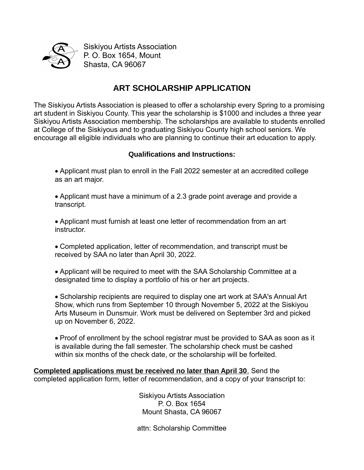

Siskiyou Artists Association P. O. Box 1654, Mount Shasta, CA 96067

## **ART SCHOLARSHIP APPLICATION**

The Siskiyou Artists Association is pleased to offer a scholarship every Spring to a promising art student in Siskiyou County. This year the scholarship is \$1000 and includes a three year Siskiyou Artists Association membership. The scholarships are available to students enrolled at College of the Siskiyous and to graduating Siskiyou County high school seniors. We encourage all eligible individuals who are planning to continue their art education to apply.

## **Qualifications and Instructions:**

- Applicant must plan to enroll in the Fall 2022 semester at an accredited college as an art major.
- Applicant must have a minimum of a 2.3 grade point average and provide a transcript.
- Applicant must furnish at least one letter of recommendation from an art **instructor**
- Completed application, letter of recommendation, and transcript must be received by SAA no later than April 30, 2022.
- Applicant will be required to meet with the SAA Scholarship Committee at a designated time to display a portfolio of his or her art projects.

 Scholarship recipients are required to display one art work at SAA's Annual Art Show, which runs from September 10 through November 5, 2022 at the Siskiyou Arts Museum in Dunsmuir. Work must be delivered on September 3rd and picked up on November 6, 2022.

 Proof of enrollment by the school registrar must be provided to SAA as soon as it is available during the fall semester. The scholarship check must be cashed within six months of the check date, or the scholarship will be forfeited.

 **Completed applications must be received no later than April 30**. Send the completed application form, letter of recommendation, and a copy of your transcript to:

> Siskiyou Artists Association P. O. Box 1654 Mount Shasta, CA 96067

attn: Scholarship Committee